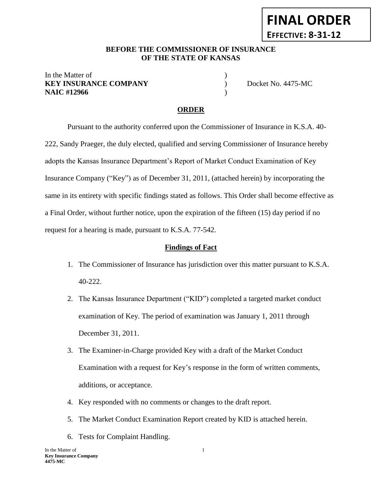#### **BEFORE THE COMMISSIONER OF INSURANCE** *-12***OF THE STATE OF KANSAS**

#### In the Matter of **KEY INSURANCE COMPANY** Docket No. 4475-MC **NAIC #12966** )

### **ORDER**

Pursuant to the authority conferred upon the Commissioner of Insurance in K.S.A. 40- 222, Sandy Praeger, the duly elected, qualified and serving Commissioner of Insurance hereby adopts the Kansas Insurance Department's Report of Market Conduct Examination of Key Insurance Company ("Key") as of December 31, 2011, (attached herein) by incorporating the same in its entirety with specific findings stated as follows. This Order shall become effective as a Final Order, without further notice, upon the expiration of the fifteen (15) day period if no request for a hearing is made, pursuant to K.S.A. 77-542.

#### **Findings of Fact**

- 1. The Commissioner of Insurance has jurisdiction over this matter pursuant to K.S.A. 40-222.
- 2. The Kansas Insurance Department ("KID") completed a targeted market conduct examination of Key. The period of examination was January 1, 2011 through December 31, 2011.
- 3. The Examiner-in-Charge provided Key with a draft of the Market Conduct Examination with a request for Key's response in the form of written comments, additions, or acceptance.
- 4. Key responded with no comments or changes to the draft report.
- 5. The Market Conduct Examination Report created by KID is attached herein.
- 6. Tests for Complaint Handling.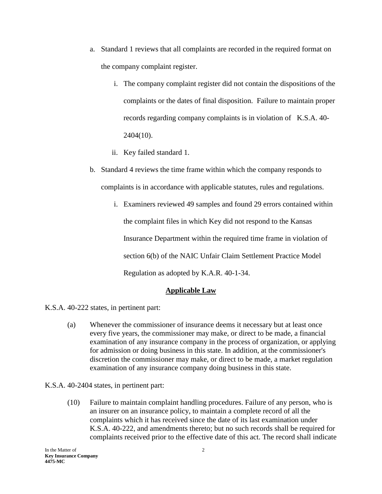- a. Standard 1 reviews that all complaints are recorded in the required format on the company complaint register.
	- i. The company complaint register did not contain the dispositions of the complaints or the dates of final disposition. Failure to maintain proper records regarding company complaints is in violation of K.S.A. 40- 2404(10).
	- ii. Key failed standard 1.
- b. Standard 4 reviews the time frame within which the company responds to complaints is in accordance with applicable statutes, rules and regulations.
	- i. Examiners reviewed 49 samples and found 29 errors contained within the complaint files in which Key did not respond to the Kansas Insurance Department within the required time frame in violation of section 6(b) of the NAIC Unfair Claim Settlement Practice Model Regulation as adopted by K.A.R. 40-1-34.

#### **Applicable Law**

K.S.A. 40-222 states, in pertinent part:

(a) Whenever the commissioner of insurance deems it necessary but at least once every five years, the commissioner may make, or direct to be made, a financial examination of any insurance company in the process of organization, or applying for admission or doing business in this state. In addition, at the commissioner's discretion the commissioner may make, or direct to be made, a market regulation examination of any insurance company doing business in this state.

K.S.A. 40-2404 states, in pertinent part:

(10) Failure to maintain complaint handling procedures. Failure of any person, who is an insurer on an insurance policy, to maintain a complete record of all the complaints which it has received since the date of its last examination under K.S.A. 40-222, and amendments thereto; but no such records shall be required for complaints received prior to the effective date of this act. The record shall indicate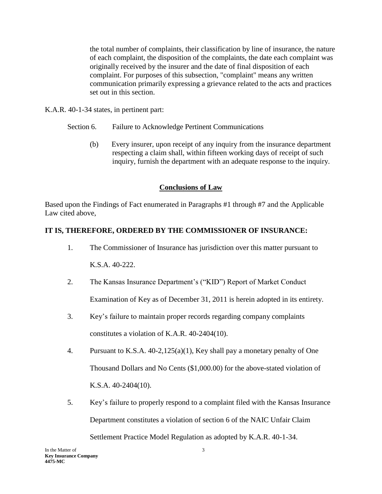the total number of complaints, their classification by line of insurance, the nature of each complaint, the disposition of the complaints, the date each complaint was originally received by the insurer and the date of final disposition of each complaint. For purposes of this subsection, "complaint" means any written communication primarily expressing a grievance related to the acts and practices set out in this section.

K.A.R. 40-1-34 states, in pertinent part:

- Section 6. Failure to Acknowledge Pertinent Communications
	- (b) Every insurer, upon receipt of any inquiry from the insurance department respecting a claim shall, within fifteen working days of receipt of such inquiry, furnish the department with an adequate response to the inquiry.

### **Conclusions of Law**

Based upon the Findings of Fact enumerated in Paragraphs #1 through #7 and the Applicable Law cited above,

## **IT IS, THEREFORE, ORDERED BY THE COMMISSIONER OF INSURANCE:**

- 1. The Commissioner of Insurance has jurisdiction over this matter pursuant to K.S.A. 40-222.
- 2. The Kansas Insurance Department's ("KID") Report of Market Conduct Examination of Key as of December 31, 2011 is herein adopted in its entirety.
- 3. Key's failure to maintain proper records regarding company complaints constitutes a violation of K.A.R. 40-2404(10).
- 4. Pursuant to K.S.A. 40-2,125(a)(1), Key shall pay a monetary penalty of One Thousand Dollars and No Cents (\$1,000.00) for the above-stated violation of K.S.A. 40-2404(10).
- 5. Key's failure to properly respond to a complaint filed with the Kansas Insurance Department constitutes a violation of section 6 of the NAIC Unfair Claim Settlement Practice Model Regulation as adopted by K.A.R. 40-1-34.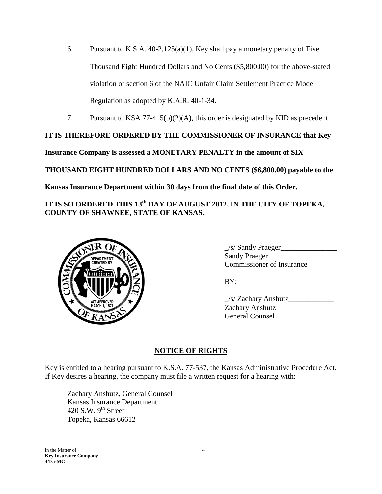- 6. Pursuant to K.S.A. 40-2,125(a)(1), Key shall pay a monetary penalty of Five Thousand Eight Hundred Dollars and No Cents (\$5,800.00) for the above-stated violation of section 6 of the NAIC Unfair Claim Settlement Practice Model Regulation as adopted by K.A.R. 40-1-34.
- 7. Pursuant to KSA 77-415(b)(2)(A), this order is designated by KID as precedent.

# **IT IS THEREFORE ORDERED BY THE COMMISSIONER OF INSURANCE that Key**

**Insurance Company is assessed a MONETARY PENALTY in the amount of SIX**

**THOUSAND EIGHT HUNDRED DOLLARS AND NO CENTS (\$6,800.00) payable to the** 

**Kansas Insurance Department within 30 days from the final date of this Order.** 

# **IT IS SO ORDERED THIS 13th DAY OF AUGUST 2012, IN THE CITY OF TOPEKA, COUNTY OF SHAWNEE, STATE OF KANSAS.**



 $\angle$ s/ Sandy Praeger $\Box$ Sandy Praeger Commissioner of Insurance

BY:

| /s/ Zachary Anshutz |  |
|---------------------|--|
| Zachary Anshutz     |  |
| General Counsel     |  |

## **NOTICE OF RIGHTS**

Key is entitled to a hearing pursuant to K.S.A. 77-537, the Kansas Administrative Procedure Act. If Key desires a hearing, the company must file a written request for a hearing with:

Zachary Anshutz, General Counsel Kansas Insurance Department 420 S.W.  $9<sup>th</sup>$  Street Topeka, Kansas 66612